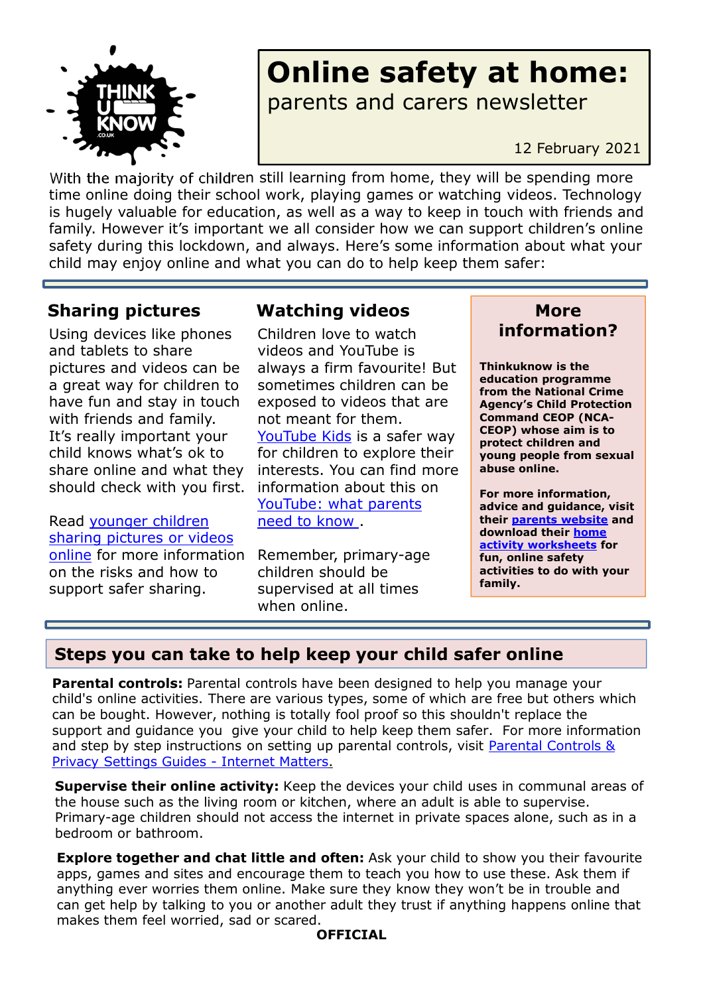

# **Online safety at home:** parents and carers newsletter

12 February 2021

With the majority of children still learning from home, they will be spending more time online doing their school work, playing games or watching videos. Technology is hugely valuable for education, as well as a way to keep in touch with friends and family. However it's important we all consider how we can support children's online safety during this lockdown, and always. Here's some information about what your child may enjoy online and what you can do to help keep them safer:

Using devices like phones and tablets to share pictures and videos can be a great way for children to have fun and stay in touch with friends and family. It's really important your child knows what's ok to share online and what they should check with you first.

Read younger children sharing pictures or videos online for more information on the risks and how to support safer sharing.

### **Sharing pictures Watching videos More**

Children love to watch videos and YouTube is always a firm favourite! But sometimes children can be exposed to videos that are not meant for them. YouTube Kids is a safer way for children to explore their interests. You can find more information about this on YouTube: what parents need to know .

Remember, primary-age children should be supervised at all times when online.

# **information?**

**Thinkuknow is the education programme from the National Crime Agency's Child Protection Command CEOP (NCA-CEOP) whose aim is to protect children and young people from sexual abuse online.** 

**For more information, advice and guidance, visit their parents website and download their home activity worksheets for fun, online safety activities to do with your family.** 

#### **Steps you can take to help keep your child safer online**

**Parental controls:** Parental controls have been designed to help you manage your child's online activities. There are various types, some of which are free but others which can be bought. However, nothing is totally fool proof so this shouldn't replace the support and guidance you give your child to help keep them safer. For more information and step by step instructions on setting up parental controls, visit Parental Controls & Privacy Settings Guides - Internet Matters.

**Supervise their online activity:** Keep the devices your child uses in communal areas of the house such as the living room or kitchen, where an adult is able to supervise. Primary-age children should not access the internet in private spaces alone, such as in a bedroom or bathroom.

**Explore together and chat little and often:** Ask your child to show you their favourite apps, games and sites and encourage them to teach you how to use these. Ask them if anything ever worries them online. Make sure they know they won't be in trouble and can get help by talking to you or another adult they trust if anything happens online that makes them feel worried, sad or scared.

#### **OFFICIAL**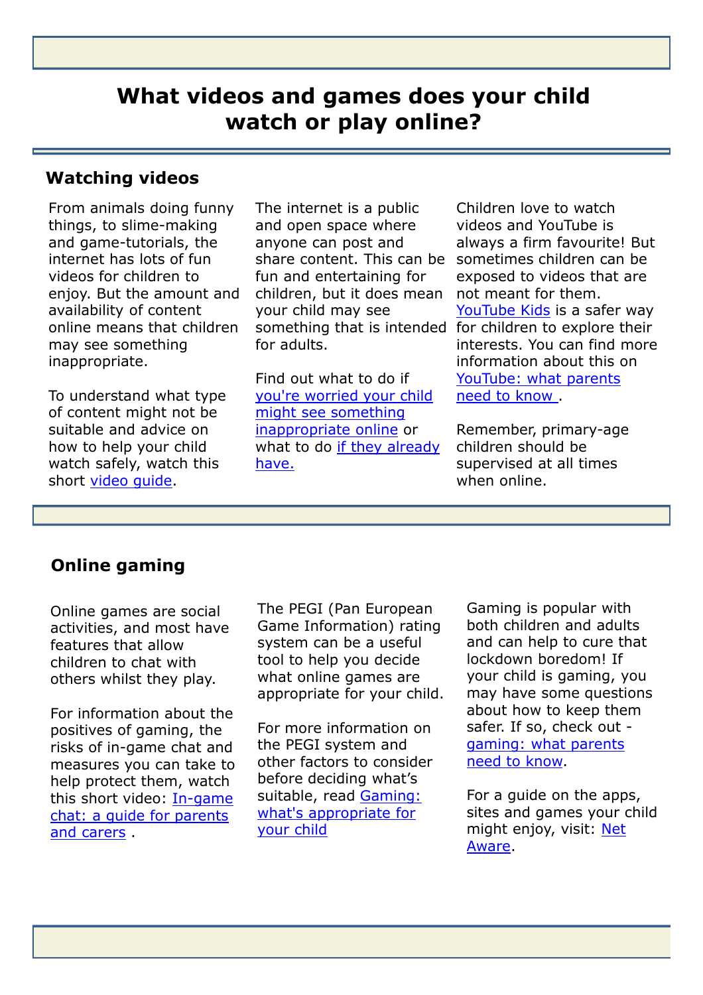# **What videos and games does your child watch or play online?**

**OFFICIAL** 

#### **Watching videos**

From animals doing funny things, to slime-making and game-tutorials, the internet has lots of fun videos for children to enjoy. But the amount and availability of content online means that children may see something inappropriate.

To understand what type of content might not be suitable and advice on how to help your child watch safely, watch this short video guide.

The internet is a public and open space where anyone can post and share content. This can be fun and entertaining for children, but it does mean your child may see for adults.

Find out what to do if you're worried your child might see something inappropriate online or what to do if they already have.

something that is intended for children to explore their Children love to watch videos and YouTube is always a firm favourite! But sometimes children can be exposed to videos that are not meant for them. YouTube Kids is a safer way interests. You can find more information about this on YouTube: what parents need to know .

> Remember, primary-age children should be supervised at all times when online.

#### **Online gaming**

Online games are social activities, and most have features that allow children to chat with others whilst they play.

For information about the positives of gaming, the risks of in-game chat and measures you can take to help protect them, watch this short video: In-game chat: a guide for parents and carers .

The PEGI (Pan European Game Information) rating system can be a useful tool to help you decide what online games are appropriate for your child.

For more information on the PEGI system and other factors to consider before deciding what's suitable, read Gaming: what's appropriate for your child

Gaming is popular with both children and adults and can help to cure that lockdown boredom! If your child is gaming, you may have some questions about how to keep them safer. If so, check out gaming: what parents need to know.

For a guide on the apps, sites and games your child might enjoy, visit: Net Aware.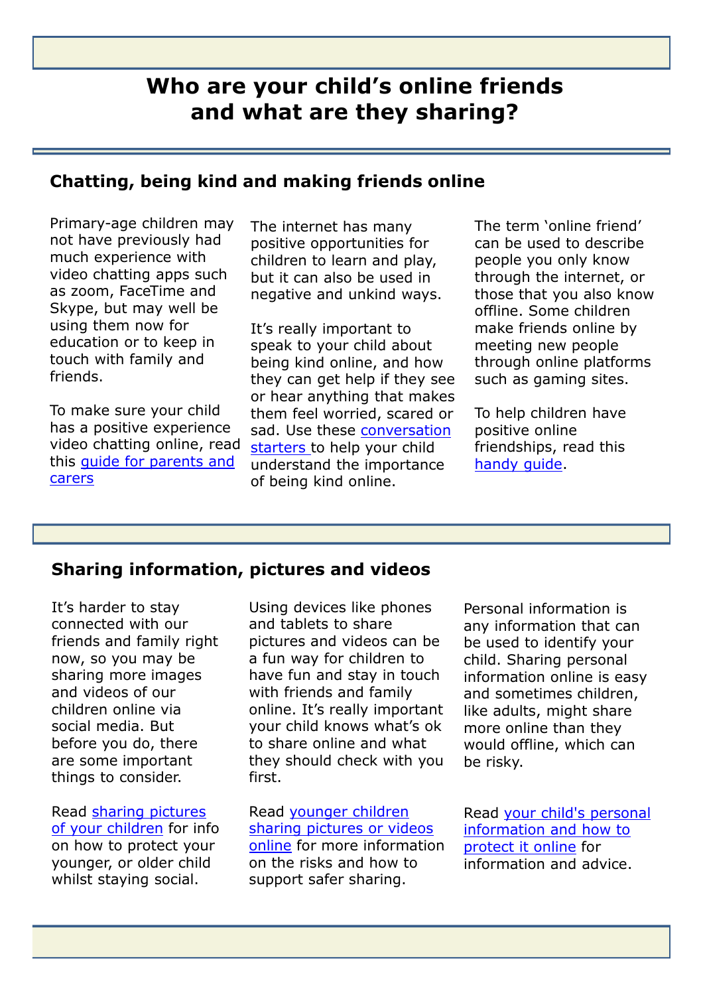## **Who are your child's online friends and what are they sharing?**

**OFFICIAL** 

#### **Chatting, being kind and making friends online**

Primary-age children may not have previously had much experience with video chatting apps such as zoom, FaceTime and Skype, but may well be using them now for education or to keep in touch with family and friends.

To make sure your child has a positive experience video chatting online, read this guide for parents and carers

The internet has many positive opportunities for children to learn and play, but it can also be used in negative and unkind ways.

It's really important to speak to your child about being kind online, and how they can get help if they see or hear anything that makes them feel worried, scared or sad. Use these conversation starters to help your child understand the importance of being kind online.

The term 'online friend' can be used to describe people you only know through the internet, or those that you also know offline. Some children make friends online by meeting new people through online platforms such as gaming sites.

To help children have positive online friendships, read this handy guide.

#### **Sharing information, pictures and videos**

It's harder to stay connected with our friends and family right now, so you may be sharing more images and videos of our children online via social media. But before you do, there are some important things to consider.

Read sharing pictures of your children for info on how to protect your younger, or older child whilst staying social.

Using devices like phones and tablets to share pictures and videos can be a fun way for children to have fun and stay in touch with friends and family online. It's really important your child knows what's ok to share online and what they should check with you first.

Read younger children sharing pictures or videos online for more information on the risks and how to support safer sharing.

Personal information is any information that can be used to identify your child. Sharing personal information online is easy and sometimes children, like adults, might share more online than they would offline, which can be risky.

Read your child's personal information and how to protect it online for information and advice.